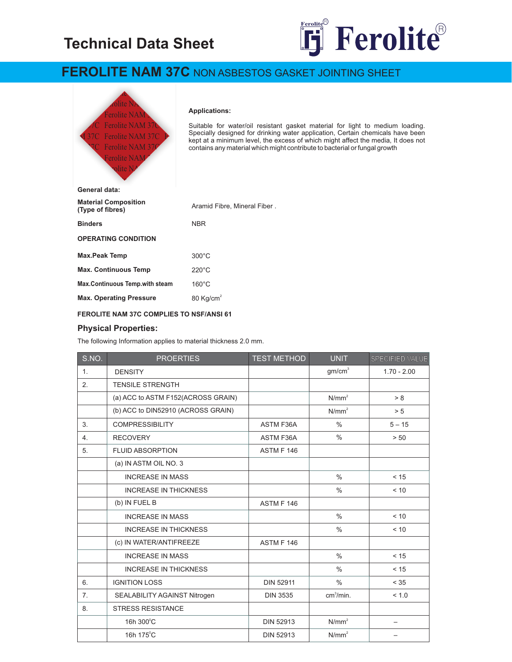## **Technical Data Sheet**



## **FEROLITE NAM 37C** NON ASBESTOS GASKET JOINTING SHEET



## **Physical Properties:**

The following Information applies to material thickness 2.0 mm.

| S.NO.          | <b>PROERTIES</b>                   | <b>TEST METHOD</b> | <b>UNIT</b>           | SPECIFIED VALUE          |
|----------------|------------------------------------|--------------------|-----------------------|--------------------------|
| 1.             | <b>DENSITY</b>                     |                    | gm/cm <sup>3</sup>    | $1.70 - 2.00$            |
| 2.             | <b>TENSILE STRENGTH</b>            |                    |                       |                          |
|                | (a) ACC to ASTM F152(ACROSS GRAIN) |                    | N/mm <sup>2</sup>     | > 8                      |
|                | (b) ACC to DIN52910 (ACROSS GRAIN) |                    | N/mm <sup>2</sup>     | > 5                      |
| 3.             | <b>COMPRESSIBILITY</b>             | <b>ASTM F36A</b>   | $\frac{0}{0}$         | $5 - 15$                 |
| 4.             | <b>RECOVERY</b>                    | <b>ASTM F36A</b>   | $\frac{0}{0}$         | > 50                     |
| 5.             | <b>FLUID ABSORPTION</b>            | ASTM F 146         |                       |                          |
|                | (a) IN ASTM OIL NO. 3              |                    |                       |                          |
|                | <b>INCREASE IN MASS</b>            |                    | $\frac{0}{0}$         | < 15                     |
|                | <b>INCREASE IN THICKNESS</b>       |                    | $\frac{0}{0}$         | < 10                     |
|                | (b) IN FUEL B                      | ASTM F 146         |                       |                          |
|                | <b>INCREASE IN MASS</b>            |                    | $\frac{0}{0}$         | < 10                     |
|                | <b>INCREASE IN THICKNESS</b>       |                    | $\frac{0}{0}$         | < 10                     |
|                | (c) IN WATER/ANTIFREEZE            | ASTM F 146         |                       |                          |
|                | <b>INCREASE IN MASS</b>            |                    | $\frac{0}{0}$         | $<15$                    |
|                | <b>INCREASE IN THICKNESS</b>       |                    | $\%$                  | < 15                     |
| 6.             | <b>IGNITION LOSS</b>               | <b>DIN 52911</b>   | $\frac{0}{0}$         | < 35                     |
| 7 <sub>1</sub> | SEALABILITY AGAINST Nitrogen       | <b>DIN 3535</b>    | cm <sup>3</sup> /min. | < 1.0                    |
| 8.             | <b>STRESS RESISTANCE</b>           |                    |                       |                          |
|                | 16h 300°C                          | DIN 52913          | N/mm <sup>2</sup>     | $\overline{\phantom{m}}$ |
|                | 16h 175°C                          | <b>DIN 52913</b>   | N/mm <sup>2</sup>     |                          |